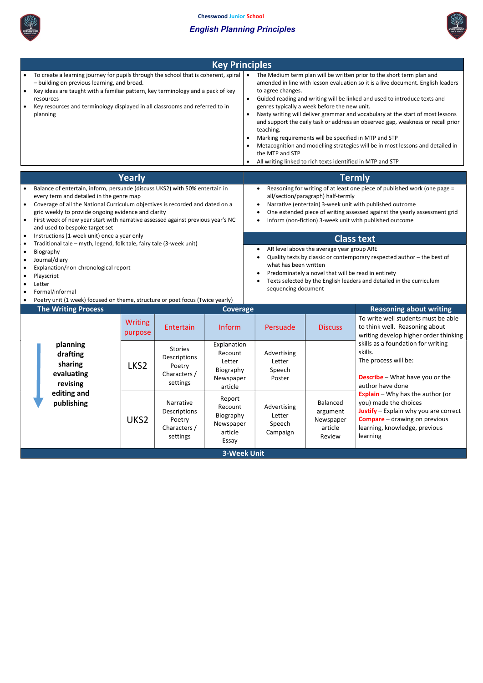

## English Planning Principles



|                                     | <b>Key Principles</b>                                                                                                                                                                                                                                                                                                                                                                |                                                                                                                                                                                                                                                                                                                                                                                                                                                                                                                                                                                                                                                                                                                                                                  |  |  |  |  |
|-------------------------------------|--------------------------------------------------------------------------------------------------------------------------------------------------------------------------------------------------------------------------------------------------------------------------------------------------------------------------------------------------------------------------------------|------------------------------------------------------------------------------------------------------------------------------------------------------------------------------------------------------------------------------------------------------------------------------------------------------------------------------------------------------------------------------------------------------------------------------------------------------------------------------------------------------------------------------------------------------------------------------------------------------------------------------------------------------------------------------------------------------------------------------------------------------------------|--|--|--|--|
| $\bullet$                           | To create a learning journey for pupils through the school that is coherent, spiral<br>- building on previous learning, and broad.<br>Key ideas are taught with a familiar pattern, key terminology and a pack of key<br>resources<br>Key resources and terminology displayed in all classrooms and referred to in<br>planning                                                       | The Medium term plan will be written prior to the short term plan and<br>$\bullet$<br>amended in line with lesson evaluation so it is a live document. English leaders<br>to agree changes.<br>Guided reading and writing will be linked and used to introduce texts and<br>$\bullet$<br>genres typically a week before the new unit.<br>Nasty writing will deliver grammar and vocabulary at the start of most lessons<br>$\bullet$<br>and support the daily task or address an observed gap, weakness or recall prior<br>teaching.<br>Marking requirements will be specified in MTP and STP<br>Metacognition and modelling strategies will be in most lessons and detailed in<br>the MTP and STP<br>All writing linked to rich texts identified in MTP and STP |  |  |  |  |
|                                     | <b>Yearly</b>                                                                                                                                                                                                                                                                                                                                                                        | <b>Termly</b>                                                                                                                                                                                                                                                                                                                                                                                                                                                                                                                                                                                                                                                                                                                                                    |  |  |  |  |
| $\bullet$                           | Balance of entertain, inform, persuade (discuss UKS2) with 50% entertain in<br>every term and detailed in the genre map<br>Coverage of all the National Curriculum objectives is recorded and dated on a<br>grid weekly to provide ongoing evidence and clarity<br>First week of new year start with narrative assessed against previous year's NC<br>and used to bespoke target set | Reasoning for writing of at least one piece of published work (one page =<br>all/section/paragraph) half-termly<br>Narrative (entertain) 3-week unit with published outcome<br>One extended piece of writing assessed against the yearly assessment grid<br>Inform (non-fiction) 3-week unit with published outcome                                                                                                                                                                                                                                                                                                                                                                                                                                              |  |  |  |  |
| $\bullet$                           | Instructions (1-week unit) once a year only                                                                                                                                                                                                                                                                                                                                          | <b>Class text</b>                                                                                                                                                                                                                                                                                                                                                                                                                                                                                                                                                                                                                                                                                                                                                |  |  |  |  |
| $\bullet$<br>$\bullet$<br>$\bullet$ | Traditional tale - myth, legend, folk tale, fairy tale (3-week unit)<br>Biography<br>Journal/diary<br>Explanation/non-chronological report<br>Playscript<br>Letter<br>Formal/informal                                                                                                                                                                                                | AR level above the average year group ARE<br>Quality texts by classic or contemporary respected author - the best of<br>what has been written<br>Predominately a novel that will be read in entirety<br>Texts selected by the English leaders and detailed in the curriculum<br>sequencing document                                                                                                                                                                                                                                                                                                                                                                                                                                                              |  |  |  |  |

|  | Poetry unit (1 week) focused on theme, structure or poet focus (Twice yearly) |  |  |  |  |
|--|-------------------------------------------------------------------------------|--|--|--|--|
|--|-------------------------------------------------------------------------------|--|--|--|--|

|  | <b>The Writing Process</b> |
|--|----------------------------|
|  |                            |

| <b>The Writing Process</b>                                | <b>Coverage</b>                 |                                                                      |                                                                       |                                             | <b>Reasoning about writing</b>                         |                                                                                                                                                                                                         |  |
|-----------------------------------------------------------|---------------------------------|----------------------------------------------------------------------|-----------------------------------------------------------------------|---------------------------------------------|--------------------------------------------------------|---------------------------------------------------------------------------------------------------------------------------------------------------------------------------------------------------------|--|
|                                                           | Writing<br>purpose              | <b>Entertain</b>                                                     | <b>Inform</b>                                                         | Persuade                                    | <b>Discuss</b>                                         | To write well students must be able<br>to think well. Reasoning about<br>writing develop higher order thinking                                                                                          |  |
| planning<br>drafting<br>sharing<br>evaluating<br>revising | LKS <sub>2</sub>                | <b>Stories</b><br>Descriptions<br>Poetry<br>Characters /<br>settings | Explanation<br>Recount<br>Letter<br>Biography<br>Newspaper<br>article | Advertising<br>Letter<br>Speech<br>Poster   |                                                        | skills as a foundation for writing<br>skills.<br>The process will be:<br><b>Describe</b> - What have you or the<br>author have done                                                                     |  |
| publishing                                                | editing and<br>UKS <sub>2</sub> | Narrative<br>Descriptions<br>Poetry<br>Characters /<br>settings      | Report<br>Recount<br>Biography<br>Newspaper<br>article<br>Essay       | Advertising<br>Letter<br>Speech<br>Campaign | Balanced<br>argument<br>Newspaper<br>article<br>Review | <b>Explain</b> – Why has the author (or<br>you) made the choices<br><b>Justify</b> $-$ Explain why you are correct<br><b>Compare</b> – drawing on previous<br>learning, knowledge, previous<br>learning |  |
| <b>3-Week Unit</b>                                        |                                 |                                                                      |                                                                       |                                             |                                                        |                                                                                                                                                                                                         |  |